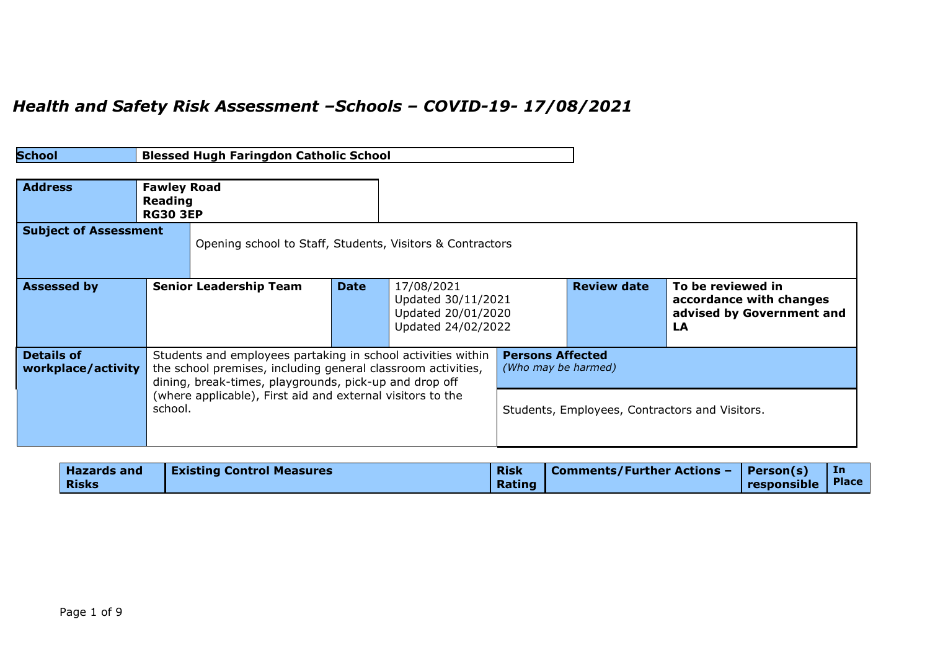## *Health and Safety Risk Assessment –Schools – COVID-19- 17/08/2021*

| School                                  |                                                  | <b>Blessed Hugh Faringdon Catholic School</b>                                                                                                                                                                                                        |             |                                                                              |                                                                                                  |                    |                                                                                 |
|-----------------------------------------|--------------------------------------------------|------------------------------------------------------------------------------------------------------------------------------------------------------------------------------------------------------------------------------------------------------|-------------|------------------------------------------------------------------------------|--------------------------------------------------------------------------------------------------|--------------------|---------------------------------------------------------------------------------|
| <b>Address</b>                          | <b>Fawley Road</b><br>Reading<br><b>RG30 3EP</b> |                                                                                                                                                                                                                                                      |             |                                                                              |                                                                                                  |                    |                                                                                 |
| <b>Subject of Assessment</b>            |                                                  | Opening school to Staff, Students, Visitors & Contractors                                                                                                                                                                                            |             |                                                                              |                                                                                                  |                    |                                                                                 |
| <b>Assessed by</b>                      |                                                  | <b>Senior Leadership Team</b>                                                                                                                                                                                                                        | <b>Date</b> | 17/08/2021<br>Updated 30/11/2021<br>Updated 20/01/2020<br>Updated 24/02/2022 |                                                                                                  | <b>Review date</b> | To be reviewed in<br>accordance with changes<br>advised by Government and<br>LA |
| <b>Details of</b><br>workplace/activity | school.                                          | Students and employees partaking in school activities within<br>the school premises, including general classroom activities,<br>dining, break-times, playgrounds, pick-up and drop off<br>(where applicable), First aid and external visitors to the |             |                                                                              | <b>Persons Affected</b><br>(Who may be harmed)<br>Students, Employees, Contractors and Visitors. |                    |                                                                                 |

| <b>Hazards and</b> | <b>Existing Control Measures</b> | <b>Risk</b> | Comments/Further Actions -   Person(s) |                   | In |
|--------------------|----------------------------------|-------------|----------------------------------------|-------------------|----|
| <b>Risks</b>       |                                  | Rating      |                                        | responsible Place |    |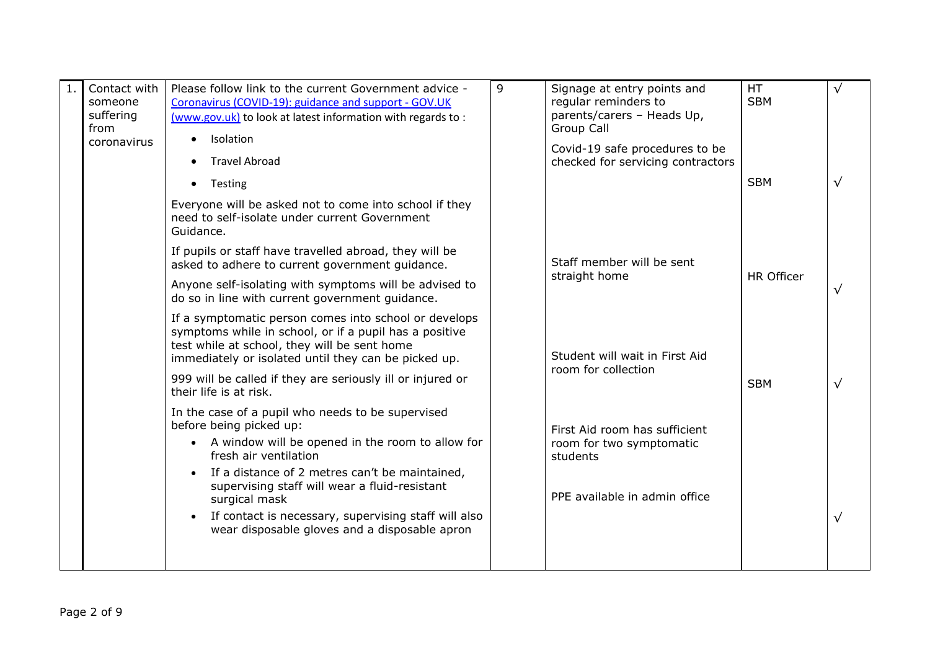| Contact with<br>someone<br>suffering<br>from<br>coronavirus | Please follow link to the current Government advice -<br>Coronavirus (COVID-19): guidance and support - GOV.UK<br>(www.gov.uk) to look at latest information with regards to:<br>Isolation<br>$\bullet$                 | $\mathsf{q}$ | Signage at entry points and<br>regular reminders to<br>parents/carers - Heads Up,<br>Group Call | <b>HT</b><br><b>SBM</b> | √          |
|-------------------------------------------------------------|-------------------------------------------------------------------------------------------------------------------------------------------------------------------------------------------------------------------------|--------------|-------------------------------------------------------------------------------------------------|-------------------------|------------|
|                                                             | <b>Travel Abroad</b>                                                                                                                                                                                                    |              | Covid-19 safe procedures to be<br>checked for servicing contractors                             |                         |            |
|                                                             | Testing<br>$\bullet$                                                                                                                                                                                                    |              |                                                                                                 | <b>SBM</b>              |            |
|                                                             | Everyone will be asked not to come into school if they<br>need to self-isolate under current Government<br>Guidance.                                                                                                    |              |                                                                                                 |                         |            |
|                                                             | If pupils or staff have travelled abroad, they will be<br>asked to adhere to current government guidance.                                                                                                               |              | Staff member will be sent                                                                       |                         |            |
|                                                             | Anyone self-isolating with symptoms will be advised to<br>do so in line with current government guidance.                                                                                                               |              | straight home                                                                                   | <b>HR Officer</b>       |            |
|                                                             | If a symptomatic person comes into school or develops<br>symptoms while in school, or if a pupil has a positive<br>test while at school, they will be sent home<br>immediately or isolated until they can be picked up. |              | Student will wait in First Aid                                                                  |                         |            |
|                                                             | 999 will be called if they are seriously ill or injured or<br>their life is at risk.                                                                                                                                    |              | room for collection                                                                             | <b>SBM</b>              | $\sqrt{ }$ |
|                                                             | In the case of a pupil who needs to be supervised<br>before being picked up:                                                                                                                                            |              | First Aid room has sufficient                                                                   |                         |            |
|                                                             | A window will be opened in the room to allow for<br>fresh air ventilation                                                                                                                                               |              | room for two symptomatic<br>students                                                            |                         |            |
|                                                             | If a distance of 2 metres can't be maintained,<br>supervising staff will wear a fluid-resistant<br>surgical mask                                                                                                        |              | PPE available in admin office                                                                   |                         |            |
|                                                             | If contact is necessary, supervising staff will also<br>$\bullet$<br>wear disposable gloves and a disposable apron                                                                                                      |              |                                                                                                 |                         |            |
|                                                             |                                                                                                                                                                                                                         |              |                                                                                                 |                         |            |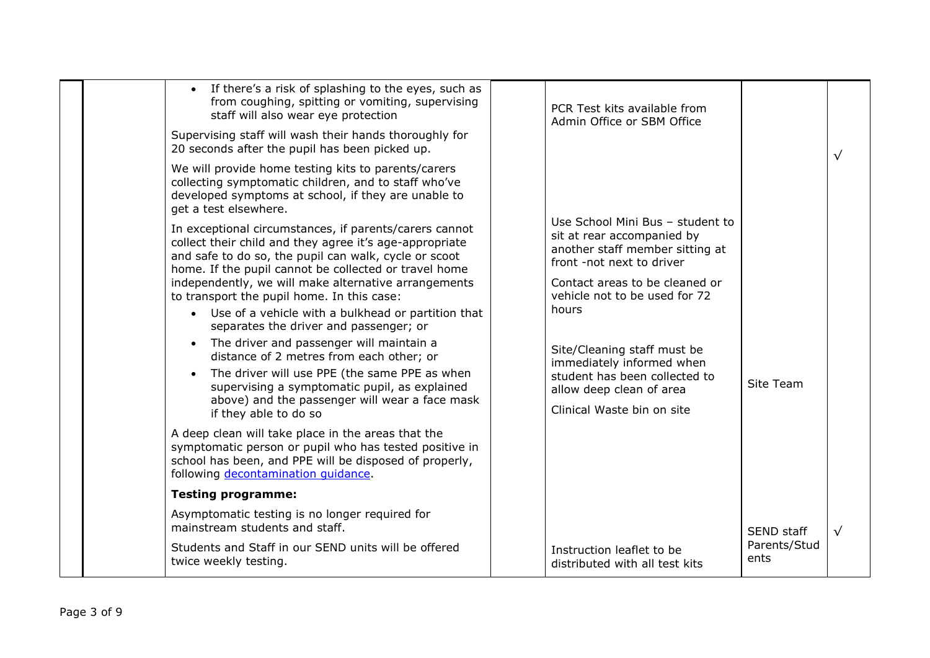| • If there's a risk of splashing to the eyes, such as<br>from coughing, spitting or vomiting, supervising<br>staff will also wear eye protection<br>Supervising staff will wash their hands thoroughly for<br>20 seconds after the pupil has been picked up.                                                                                                                                                                                                                                                                                                                                                                                                                                                                  | PCR Test kits available from<br>Admin Office or SBM Office                                                                                                                                                                                                                                                                                                        |                      |           |
|-------------------------------------------------------------------------------------------------------------------------------------------------------------------------------------------------------------------------------------------------------------------------------------------------------------------------------------------------------------------------------------------------------------------------------------------------------------------------------------------------------------------------------------------------------------------------------------------------------------------------------------------------------------------------------------------------------------------------------|-------------------------------------------------------------------------------------------------------------------------------------------------------------------------------------------------------------------------------------------------------------------------------------------------------------------------------------------------------------------|----------------------|-----------|
| We will provide home testing kits to parents/carers<br>collecting symptomatic children, and to staff who've<br>developed symptoms at school, if they are unable to<br>get a test elsewhere.                                                                                                                                                                                                                                                                                                                                                                                                                                                                                                                                   |                                                                                                                                                                                                                                                                                                                                                                   |                      | $\sqrt{}$ |
| In exceptional circumstances, if parents/carers cannot<br>collect their child and they agree it's age-appropriate<br>and safe to do so, the pupil can walk, cycle or scoot<br>home. If the pupil cannot be collected or travel home<br>independently, we will make alternative arrangements<br>to transport the pupil home. In this case:<br>• Use of a vehicle with a bulkhead or partition that<br>separates the driver and passenger; or<br>The driver and passenger will maintain a<br>distance of 2 metres from each other; or<br>The driver will use PPE (the same PPE as when<br>$\bullet$<br>supervising a symptomatic pupil, as explained<br>above) and the passenger will wear a face mask<br>if they able to do so | Use School Mini Bus - student to<br>sit at rear accompanied by<br>another staff member sitting at<br>front -not next to driver<br>Contact areas to be cleaned or<br>vehicle not to be used for 72<br>hours<br>Site/Cleaning staff must be<br>immediately informed when<br>student has been collected to<br>allow deep clean of area<br>Clinical Waste bin on site | Site Team            |           |
| A deep clean will take place in the areas that the<br>symptomatic person or pupil who has tested positive in<br>school has been, and PPE will be disposed of properly,<br>following decontamination quidance.                                                                                                                                                                                                                                                                                                                                                                                                                                                                                                                 |                                                                                                                                                                                                                                                                                                                                                                   |                      |           |
| <b>Testing programme:</b>                                                                                                                                                                                                                                                                                                                                                                                                                                                                                                                                                                                                                                                                                                     |                                                                                                                                                                                                                                                                                                                                                                   |                      |           |
| Asymptomatic testing is no longer required for<br>mainstream students and staff.                                                                                                                                                                                                                                                                                                                                                                                                                                                                                                                                                                                                                                              |                                                                                                                                                                                                                                                                                                                                                                   | SEND staff           | $\sqrt{}$ |
| Students and Staff in our SEND units will be offered<br>twice weekly testing.                                                                                                                                                                                                                                                                                                                                                                                                                                                                                                                                                                                                                                                 | Instruction leaflet to be<br>distributed with all test kits                                                                                                                                                                                                                                                                                                       | Parents/Stud<br>ents |           |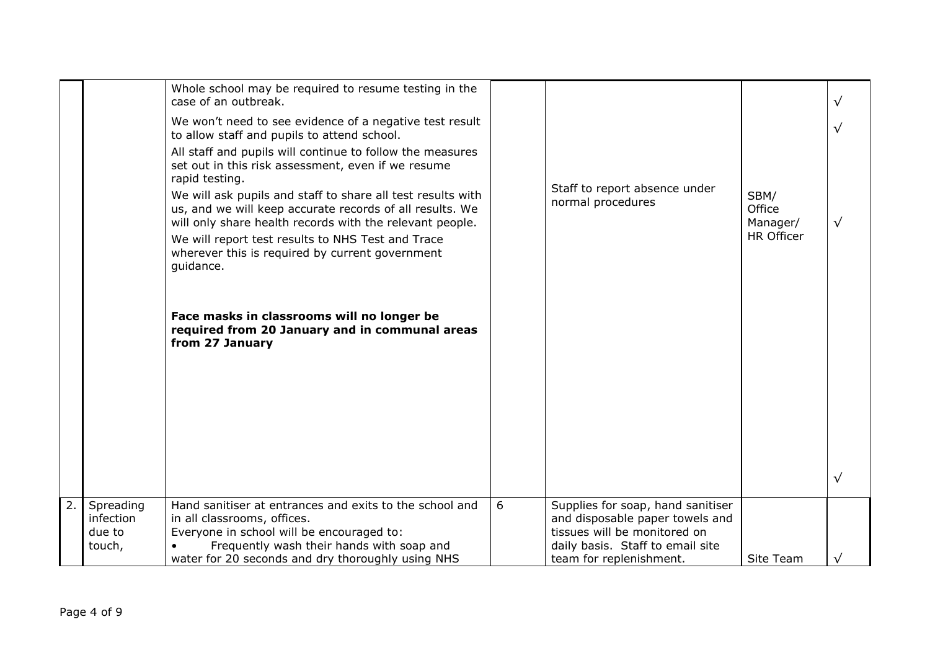|    |                  | Whole school may be required to resume testing in the<br>case of an outbreak.                                                                                                                                                                                                                                            |   |                                                                  |                            | $\sqrt{}$  |
|----|------------------|--------------------------------------------------------------------------------------------------------------------------------------------------------------------------------------------------------------------------------------------------------------------------------------------------------------------------|---|------------------------------------------------------------------|----------------------------|------------|
|    |                  | We won't need to see evidence of a negative test result<br>to allow staff and pupils to attend school.                                                                                                                                                                                                                   |   |                                                                  |                            | $\sqrt{ }$ |
|    |                  | All staff and pupils will continue to follow the measures<br>set out in this risk assessment, even if we resume<br>rapid testing.<br>We will ask pupils and staff to share all test results with<br>us, and we will keep accurate records of all results. We<br>will only share health records with the relevant people. |   | Staff to report absence under<br>normal procedures               | SBM/<br>Office<br>Manager/ | $\sqrt{}$  |
|    |                  | We will report test results to NHS Test and Trace<br>wherever this is required by current government<br>guidance.                                                                                                                                                                                                        |   |                                                                  | <b>HR Officer</b>          |            |
|    |                  | Face masks in classrooms will no longer be<br>required from 20 January and in communal areas<br>from 27 January                                                                                                                                                                                                          |   |                                                                  |                            |            |
|    |                  |                                                                                                                                                                                                                                                                                                                          |   |                                                                  |                            |            |
|    |                  |                                                                                                                                                                                                                                                                                                                          |   |                                                                  |                            |            |
|    |                  |                                                                                                                                                                                                                                                                                                                          |   |                                                                  |                            | $\sqrt{}$  |
| 2. | Spreading        | Hand sanitiser at entrances and exits to the school and                                                                                                                                                                                                                                                                  | 6 | Supplies for soap, hand sanitiser                                |                            |            |
|    | infection        | in all classrooms, offices.                                                                                                                                                                                                                                                                                              |   | and disposable paper towels and                                  |                            |            |
|    | due to<br>touch, | Everyone in school will be encouraged to:<br>Frequently wash their hands with soap and                                                                                                                                                                                                                                   |   | tissues will be monitored on<br>daily basis. Staff to email site |                            |            |
|    |                  | water for 20 seconds and dry thoroughly using NHS                                                                                                                                                                                                                                                                        |   | team for replenishment.                                          | Site Team                  |            |
|    |                  |                                                                                                                                                                                                                                                                                                                          |   |                                                                  |                            |            |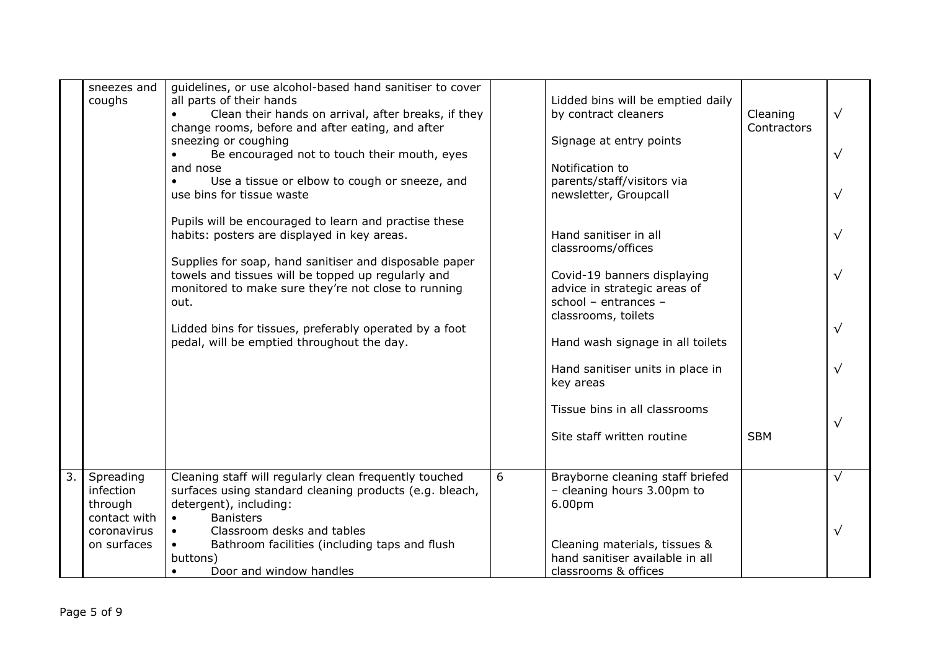|                  | sneezes and<br>coughs                             | guidelines, or use alcohol-based hand sanitiser to cover<br>all parts of their hands<br>Clean their hands on arrival, after breaks, if they<br>change rooms, before and after eating, and after<br>sneezing or coughing<br>Be encouraged not to touch their mouth, eyes<br>and nose<br>Use a tissue or elbow to cough or sneeze, and<br>$\bullet$<br>use bins for tissue waste |   | Lidded bins will be emptied daily<br>by contract cleaners<br>Signage at entry points<br>Notification to<br>parents/staff/visitors via<br>newsletter, Groupcall | Cleaning<br>Contractors | $\sqrt{ }$ |
|------------------|---------------------------------------------------|--------------------------------------------------------------------------------------------------------------------------------------------------------------------------------------------------------------------------------------------------------------------------------------------------------------------------------------------------------------------------------|---|----------------------------------------------------------------------------------------------------------------------------------------------------------------|-------------------------|------------|
|                  |                                                   | Pupils will be encouraged to learn and practise these<br>habits: posters are displayed in key areas.<br>Supplies for soap, hand sanitiser and disposable paper                                                                                                                                                                                                                 |   | Hand sanitiser in all<br>classrooms/offices                                                                                                                    |                         |            |
|                  |                                                   | towels and tissues will be topped up regularly and<br>monitored to make sure they're not close to running<br>out.                                                                                                                                                                                                                                                              |   | Covid-19 banners displaying<br>advice in strategic areas of<br>school - entrances -<br>classrooms, toilets                                                     |                         |            |
|                  |                                                   | Lidded bins for tissues, preferably operated by a foot<br>pedal, will be emptied throughout the day.                                                                                                                                                                                                                                                                           |   | Hand wash signage in all toilets                                                                                                                               |                         |            |
|                  |                                                   |                                                                                                                                                                                                                                                                                                                                                                                |   | Hand sanitiser units in place in<br>key areas                                                                                                                  |                         |            |
|                  |                                                   |                                                                                                                                                                                                                                                                                                                                                                                |   | Tissue bins in all classrooms<br>Site staff written routine                                                                                                    | <b>SBM</b>              |            |
| $\overline{3}$ . | Spreading<br>infection<br>through<br>contact with | Cleaning staff will regularly clean frequently touched<br>surfaces using standard cleaning products (e.g. bleach,<br>detergent), including:<br><b>Banisters</b><br>$\bullet$                                                                                                                                                                                                   | 6 | Brayborne cleaning staff briefed<br>- cleaning hours 3.00pm to<br>6.00pm                                                                                       |                         | $\sqrt{ }$ |
|                  | coronavirus<br>on surfaces                        | Classroom desks and tables<br>Bathroom facilities (including taps and flush<br>$\bullet$<br>buttons)<br>Door and window handles<br>$\bullet$                                                                                                                                                                                                                                   |   | Cleaning materials, tissues &<br>hand sanitiser available in all<br>classrooms & offices                                                                       |                         |            |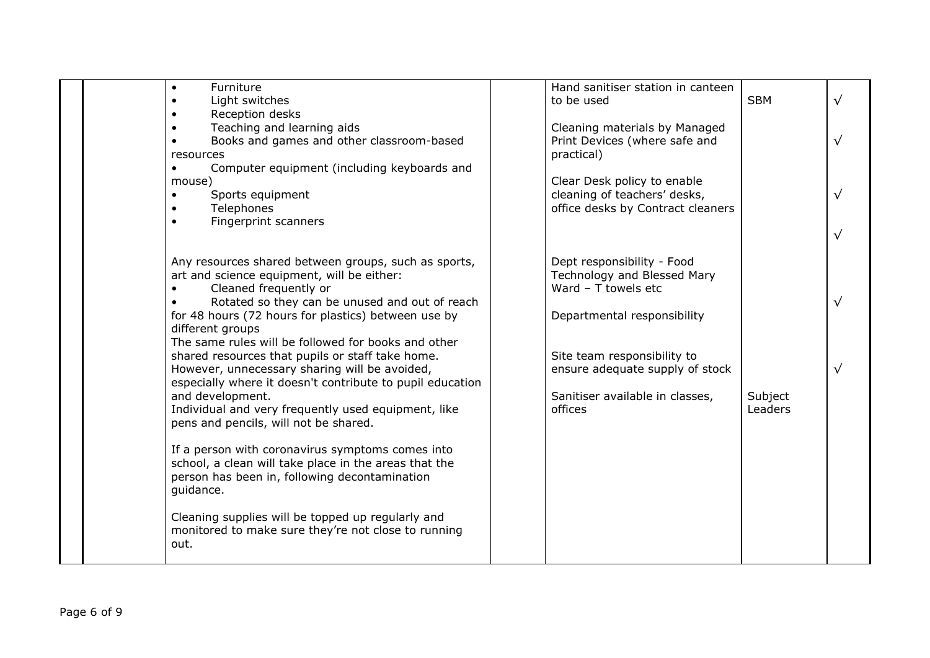| Furniture<br>$\bullet$<br>Light switches<br>$\bullet$<br>Reception desks                                                                                                                                                                                                                                        | Hand sanitiser station in canteen<br><b>SBM</b><br>to be used                                                                      | $\sqrt{}$               |
|-----------------------------------------------------------------------------------------------------------------------------------------------------------------------------------------------------------------------------------------------------------------------------------------------------------------|------------------------------------------------------------------------------------------------------------------------------------|-------------------------|
| Teaching and learning aids<br>$\bullet$<br>Books and games and other classroom-based<br>$\bullet$<br>resources<br>Computer equipment (including keyboards and                                                                                                                                                   | Cleaning materials by Managed<br>Print Devices (where safe and<br>practical)                                                       | $\sqrt{}$               |
| mouse)<br>Sports equipment<br>Telephones<br>Fingerprint scanners<br>$\bullet$                                                                                                                                                                                                                                   | Clear Desk policy to enable<br>cleaning of teachers' desks,<br>office desks by Contract cleaners                                   | $\sqrt{ }$<br>$\sqrt{}$ |
| Any resources shared between groups, such as sports,<br>art and science equipment, will be either:<br>Cleaned frequently or<br>Rotated so they can be unused and out of reach<br>for 48 hours (72 hours for plastics) between use by<br>different groups<br>The same rules will be followed for books and other | Dept responsibility - Food<br>Technology and Blessed Mary<br>Ward $-$ T towels etc<br>Departmental responsibility                  | $\sqrt{}$               |
| shared resources that pupils or staff take home.<br>However, unnecessary sharing will be avoided,<br>especially where it doesn't contribute to pupil education<br>and development.<br>Individual and very frequently used equipment, like<br>pens and pencils, will not be shared.                              | Site team responsibility to<br>ensure adequate supply of stock<br>Sanitiser available in classes,<br>Subject<br>offices<br>Leaders | $\sqrt{}$               |
| If a person with coronavirus symptoms comes into<br>school, a clean will take place in the areas that the<br>person has been in, following decontamination<br>guidance.                                                                                                                                         |                                                                                                                                    |                         |
| Cleaning supplies will be topped up regularly and<br>monitored to make sure they're not close to running<br>out.                                                                                                                                                                                                |                                                                                                                                    |                         |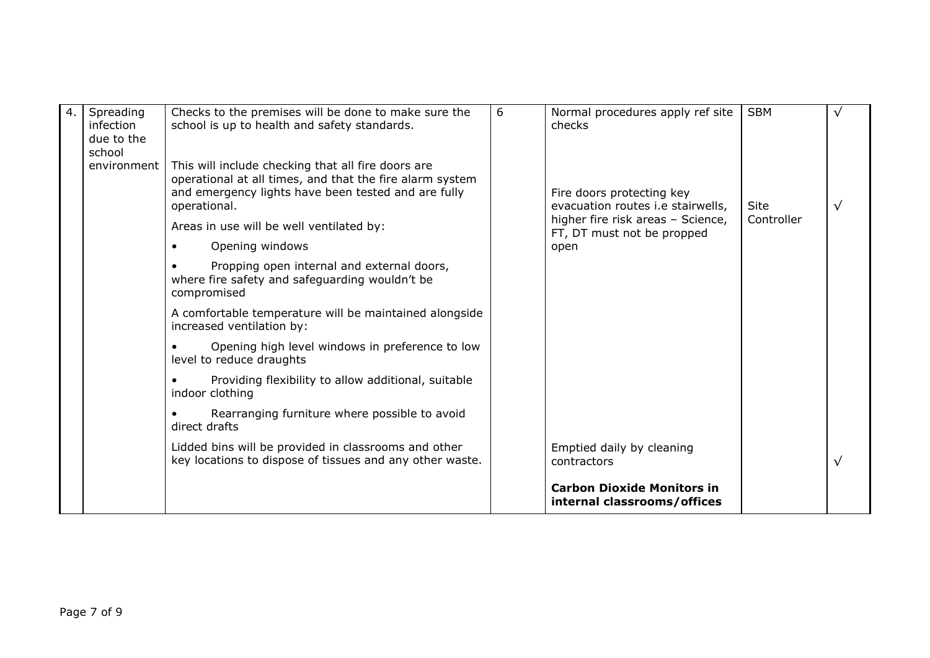| 4. | Spreading<br>infection<br>due to the<br>school | Checks to the premises will be done to make sure the<br>school is up to health and safety standards.                                                                                                                              | 6 | Normal procedures apply ref site<br>checks                                                          | <b>SBM</b>         |  |
|----|------------------------------------------------|-----------------------------------------------------------------------------------------------------------------------------------------------------------------------------------------------------------------------------------|---|-----------------------------------------------------------------------------------------------------|--------------------|--|
|    | environment                                    | This will include checking that all fire doors are<br>operational at all times, and that the fire alarm system<br>and emergency lights have been tested and are fully<br>operational.<br>Areas in use will be well ventilated by: |   | Fire doors protecting key<br>evacuation routes i.e stairwells,<br>higher fire risk areas - Science, | Site<br>Controller |  |
|    |                                                | Opening windows                                                                                                                                                                                                                   |   | FT, DT must not be propped<br>open                                                                  |                    |  |
|    |                                                | Propping open internal and external doors,<br>where fire safety and safeguarding wouldn't be<br>compromised                                                                                                                       |   |                                                                                                     |                    |  |
|    |                                                | A comfortable temperature will be maintained alongside<br>increased ventilation by:                                                                                                                                               |   |                                                                                                     |                    |  |
|    |                                                | Opening high level windows in preference to low<br>level to reduce draughts                                                                                                                                                       |   |                                                                                                     |                    |  |
|    |                                                | Providing flexibility to allow additional, suitable<br>indoor clothing                                                                                                                                                            |   |                                                                                                     |                    |  |
|    |                                                | Rearranging furniture where possible to avoid<br>direct drafts                                                                                                                                                                    |   |                                                                                                     |                    |  |
|    |                                                | Lidded bins will be provided in classrooms and other<br>key locations to dispose of tissues and any other waste.                                                                                                                  |   | Emptied daily by cleaning<br>contractors                                                            |                    |  |
|    |                                                |                                                                                                                                                                                                                                   |   | <b>Carbon Dioxide Monitors in</b><br>internal classrooms/offices                                    |                    |  |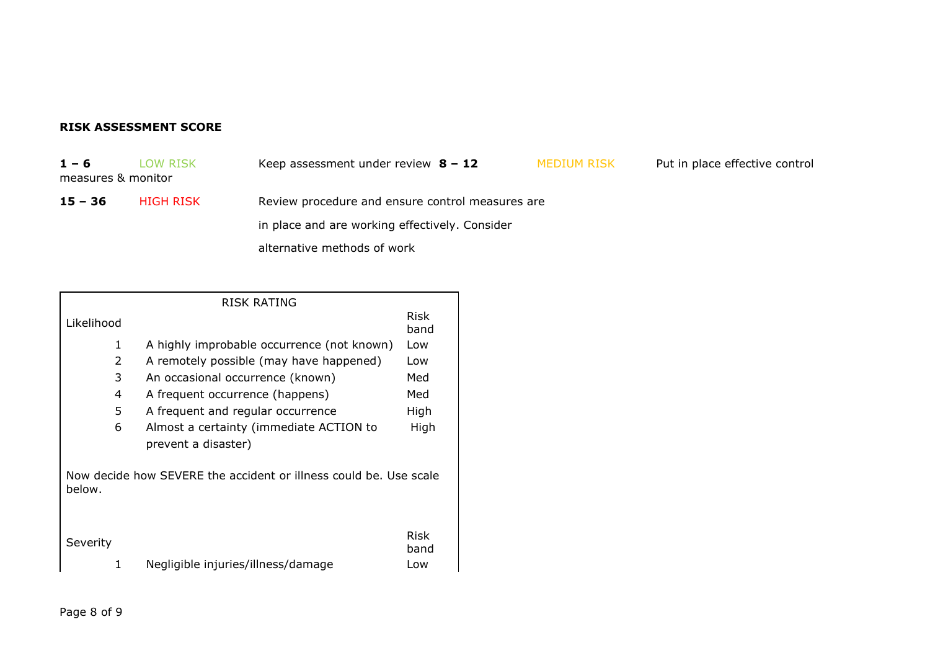## **RISK ASSESSMENT SCORE**

**1 – 6** LOW RISK Keep assessment under review **8 – 12** MEDIUM RISK Put in place effective control

measures & monitor

**15 – 36** HIGH RISK Review procedure and ensure control measures are in place and are working effectively. Consider

alternative methods of work

|               | RISK RATING                                                       |                     |
|---------------|-------------------------------------------------------------------|---------------------|
| Likelihood    |                                                                   | Risk<br>band        |
| 1             | A highly improbable occurrence (not known)                        | Low                 |
| 2             | A remotely possible (may have happened)                           | Low                 |
| 3             | An occasional occurrence (known)                                  | Med                 |
| 4             | A frequent occurrence (happens)                                   | Med                 |
| 5             | A frequent and regular occurrence                                 | High                |
| 6             | Almost a certainty (immediate ACTION to                           | High                |
|               | prevent a disaster)                                               |                     |
| below.        | Now decide how SEVERE the accident or illness could be. Use scale |                     |
| Severity<br>1 | Negligible injuries/illness/damage                                | Risk<br>band<br>Low |